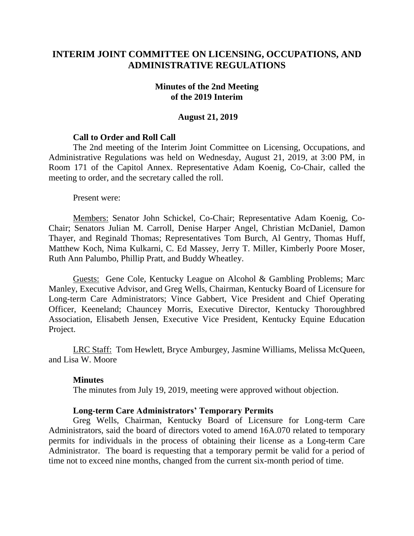# **INTERIM JOINT COMMITTEE ON LICENSING, OCCUPATIONS, AND ADMINISTRATIVE REGULATIONS**

### **Minutes of the 2nd Meeting of the 2019 Interim**

#### **August 21, 2019**

### **Call to Order and Roll Call**

The 2nd meeting of the Interim Joint Committee on Licensing, Occupations, and Administrative Regulations was held on Wednesday, August 21, 2019, at 3:00 PM, in Room 171 of the Capitol Annex. Representative Adam Koenig, Co-Chair, called the meeting to order, and the secretary called the roll.

Present were:

Members: Senator John Schickel, Co-Chair; Representative Adam Koenig, Co-Chair; Senators Julian M. Carroll, Denise Harper Angel, Christian McDaniel, Damon Thayer, and Reginald Thomas; Representatives Tom Burch, Al Gentry, Thomas Huff, Matthew Koch, Nima Kulkarni, C. Ed Massey, Jerry T. Miller, Kimberly Poore Moser, Ruth Ann Palumbo, Phillip Pratt, and Buddy Wheatley.

Guests: Gene Cole, Kentucky League on Alcohol & Gambling Problems; Marc Manley, Executive Advisor, and Greg Wells, Chairman, Kentucky Board of Licensure for Long-term Care Administrators; Vince Gabbert, Vice President and Chief Operating Officer, Keeneland; Chauncey Morris, Executive Director, Kentucky Thoroughbred Association, Elisabeth Jensen, Executive Vice President, Kentucky Equine Education Project.

LRC Staff: Tom Hewlett, Bryce Amburgey, Jasmine Williams, Melissa McQueen, and Lisa W. Moore

#### **Minutes**

The minutes from July 19, 2019, meeting were approved without objection.

### **Long-term Care Administrators' Temporary Permits**

Greg Wells, Chairman, Kentucky Board of Licensure for Long-term Care Administrators, said the board of directors voted to amend 16A.070 related to temporary permits for individuals in the process of obtaining their license as a Long-term Care Administrator. The board is requesting that a temporary permit be valid for a period of time not to exceed nine months, changed from the current six-month period of time.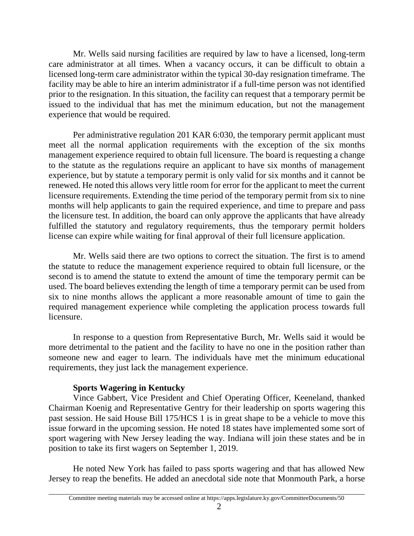Mr. Wells said nursing facilities are required by law to have a licensed, long-term care administrator at all times. When a vacancy occurs, it can be difficult to obtain a licensed long-term care administrator within the typical 30-day resignation timeframe. The facility may be able to hire an interim administrator if a full-time person was not identified prior to the resignation. In this situation, the facility can request that a temporary permit be issued to the individual that has met the minimum education, but not the management experience that would be required.

Per administrative regulation 201 KAR 6:030, the temporary permit applicant must meet all the normal application requirements with the exception of the six months management experience required to obtain full licensure. The board is requesting a change to the statute as the regulations require an applicant to have six months of management experience, but by statute a temporary permit is only valid for six months and it cannot be renewed. He noted this allows very little room for error for the applicant to meet the current licensure requirements. Extending the time period of the temporary permit from six to nine months will help applicants to gain the required experience, and time to prepare and pass the licensure test. In addition, the board can only approve the applicants that have already fulfilled the statutory and regulatory requirements, thus the temporary permit holders license can expire while waiting for final approval of their full licensure application.

Mr. Wells said there are two options to correct the situation. The first is to amend the statute to reduce the management experience required to obtain full licensure, or the second is to amend the statute to extend the amount of time the temporary permit can be used. The board believes extending the length of time a temporary permit can be used from six to nine months allows the applicant a more reasonable amount of time to gain the required management experience while completing the application process towards full licensure.

In response to a question from Representative Burch, Mr. Wells said it would be more detrimental to the patient and the facility to have no one in the position rather than someone new and eager to learn. The individuals have met the minimum educational requirements, they just lack the management experience.

## **Sports Wagering in Kentucky**

Vince Gabbert, Vice President and Chief Operating Officer, Keeneland, thanked Chairman Koenig and Representative Gentry for their leadership on sports wagering this past session. He said House Bill 175/HCS 1 is in great shape to be a vehicle to move this issue forward in the upcoming session. He noted 18 states have implemented some sort of sport wagering with New Jersey leading the way. Indiana will join these states and be in position to take its first wagers on September 1, 2019.

He noted New York has failed to pass sports wagering and that has allowed New Jersey to reap the benefits. He added an anecdotal side note that Monmouth Park, a horse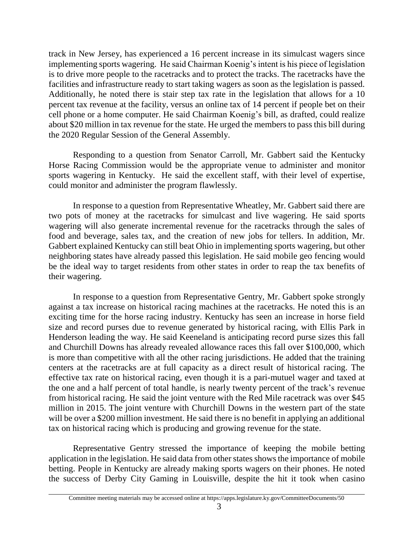track in New Jersey, has experienced a 16 percent increase in its simulcast wagers since implementing sports wagering. He said Chairman Koenig's intent is his piece of legislation is to drive more people to the racetracks and to protect the tracks. The racetracks have the facilities and infrastructure ready to start taking wagers as soon as the legislation is passed. Additionally, he noted there is stair step tax rate in the legislation that allows for a 10 percent tax revenue at the facility, versus an online tax of 14 percent if people bet on their cell phone or a home computer. He said Chairman Koenig's bill, as drafted, could realize about \$20 million in tax revenue for the state. He urged the members to pass this bill during the 2020 Regular Session of the General Assembly.

Responding to a question from Senator Carroll, Mr. Gabbert said the Kentucky Horse Racing Commission would be the appropriate venue to administer and monitor sports wagering in Kentucky. He said the excellent staff, with their level of expertise, could monitor and administer the program flawlessly.

In response to a question from Representative Wheatley, Mr. Gabbert said there are two pots of money at the racetracks for simulcast and live wagering. He said sports wagering will also generate incremental revenue for the racetracks through the sales of food and beverage, sales tax, and the creation of new jobs for tellers. In addition, Mr. Gabbert explained Kentucky can still beat Ohio in implementing sports wagering, but other neighboring states have already passed this legislation. He said mobile geo fencing would be the ideal way to target residents from other states in order to reap the tax benefits of their wagering.

In response to a question from Representative Gentry, Mr. Gabbert spoke strongly against a tax increase on historical racing machines at the racetracks. He noted this is an exciting time for the horse racing industry. Kentucky has seen an increase in horse field size and record purses due to revenue generated by historical racing, with Ellis Park in Henderson leading the way. He said Keeneland is anticipating record purse sizes this fall and Churchill Downs has already revealed allowance races this fall over \$100,000, which is more than competitive with all the other racing jurisdictions. He added that the training centers at the racetracks are at full capacity as a direct result of historical racing. The effective tax rate on historical racing, even though it is a pari-mutuel wager and taxed at the one and a half percent of total handle, is nearly twenty percent of the track's revenue from historical racing. He said the joint venture with the Red Mile racetrack was over \$45 million in 2015. The joint venture with Churchill Downs in the western part of the state will be over a \$200 million investment. He said there is no benefit in applying an additional tax on historical racing which is producing and growing revenue for the state.

Representative Gentry stressed the importance of keeping the mobile betting application in the legislation. He said data from other states shows the importance of mobile betting. People in Kentucky are already making sports wagers on their phones. He noted the success of Derby City Gaming in Louisville, despite the hit it took when casino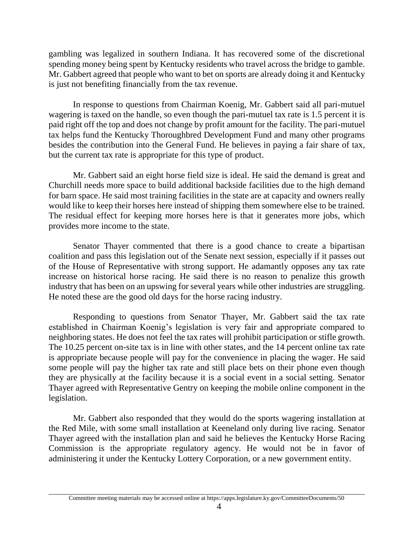gambling was legalized in southern Indiana. It has recovered some of the discretional spending money being spent by Kentucky residents who travel across the bridge to gamble. Mr. Gabbert agreed that people who want to bet on sports are already doing it and Kentucky is just not benefiting financially from the tax revenue.

In response to questions from Chairman Koenig, Mr. Gabbert said all pari-mutuel wagering is taxed on the handle, so even though the pari-mutuel tax rate is 1.5 percent it is paid right off the top and does not change by profit amount for the facility. The pari-mutuel tax helps fund the Kentucky Thoroughbred Development Fund and many other programs besides the contribution into the General Fund. He believes in paying a fair share of tax, but the current tax rate is appropriate for this type of product.

Mr. Gabbert said an eight horse field size is ideal. He said the demand is great and Churchill needs more space to build additional backside facilities due to the high demand for barn space. He said most training facilities in the state are at capacity and owners really would like to keep their horses here instead of shipping them somewhere else to be trained. The residual effect for keeping more horses here is that it generates more jobs, which provides more income to the state.

Senator Thayer commented that there is a good chance to create a bipartisan coalition and pass this legislation out of the Senate next session, especially if it passes out of the House of Representative with strong support. He adamantly opposes any tax rate increase on historical horse racing. He said there is no reason to penalize this growth industry that has been on an upswing for several years while other industries are struggling. He noted these are the good old days for the horse racing industry.

Responding to questions from Senator Thayer, Mr. Gabbert said the tax rate established in Chairman Koenig's legislation is very fair and appropriate compared to neighboring states. He does not feel the tax rates will prohibit participation or stifle growth. The 10.25 percent on-site tax is in line with other states, and the 14 percent online tax rate is appropriate because people will pay for the convenience in placing the wager. He said some people will pay the higher tax rate and still place bets on their phone even though they are physically at the facility because it is a social event in a social setting. Senator Thayer agreed with Representative Gentry on keeping the mobile online component in the legislation.

Mr. Gabbert also responded that they would do the sports wagering installation at the Red Mile, with some small installation at Keeneland only during live racing. Senator Thayer agreed with the installation plan and said he believes the Kentucky Horse Racing Commission is the appropriate regulatory agency. He would not be in favor of administering it under the Kentucky Lottery Corporation, or a new government entity.

Committee meeting materials may be accessed online at https://apps.legislature.ky.gov/CommitteeDocuments/50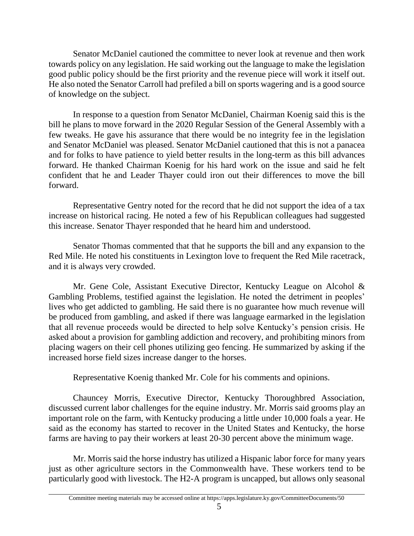Senator McDaniel cautioned the committee to never look at revenue and then work towards policy on any legislation. He said working out the language to make the legislation good public policy should be the first priority and the revenue piece will work it itself out. He also noted the Senator Carroll had prefiled a bill on sports wagering and is a good source of knowledge on the subject.

In response to a question from Senator McDaniel, Chairman Koenig said this is the bill he plans to move forward in the 2020 Regular Session of the General Assembly with a few tweaks. He gave his assurance that there would be no integrity fee in the legislation and Senator McDaniel was pleased. Senator McDaniel cautioned that this is not a panacea and for folks to have patience to yield better results in the long-term as this bill advances forward. He thanked Chairman Koenig for his hard work on the issue and said he felt confident that he and Leader Thayer could iron out their differences to move the bill forward.

Representative Gentry noted for the record that he did not support the idea of a tax increase on historical racing. He noted a few of his Republican colleagues had suggested this increase. Senator Thayer responded that he heard him and understood.

Senator Thomas commented that that he supports the bill and any expansion to the Red Mile. He noted his constituents in Lexington love to frequent the Red Mile racetrack, and it is always very crowded.

Mr. Gene Cole, Assistant Executive Director, Kentucky League on Alcohol & Gambling Problems, testified against the legislation. He noted the detriment in peoples' lives who get addicted to gambling. He said there is no guarantee how much revenue will be produced from gambling, and asked if there was language earmarked in the legislation that all revenue proceeds would be directed to help solve Kentucky's pension crisis. He asked about a provision for gambling addiction and recovery, and prohibiting minors from placing wagers on their cell phones utilizing geo fencing. He summarized by asking if the increased horse field sizes increase danger to the horses.

Representative Koenig thanked Mr. Cole for his comments and opinions.

Chauncey Morris, Executive Director, Kentucky Thoroughbred Association, discussed current labor challenges for the equine industry. Mr. Morris said grooms play an important role on the farm, with Kentucky producing a little under 10,000 foals a year. He said as the economy has started to recover in the United States and Kentucky, the horse farms are having to pay their workers at least 20-30 percent above the minimum wage.

Mr. Morris said the horse industry has utilized a Hispanic labor force for many years just as other agriculture sectors in the Commonwealth have. These workers tend to be particularly good with livestock. The H2-A program is uncapped, but allows only seasonal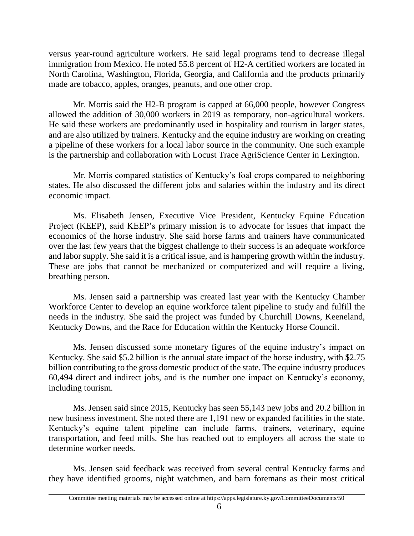versus year-round agriculture workers. He said legal programs tend to decrease illegal immigration from Mexico. He noted 55.8 percent of H2-A certified workers are located in North Carolina, Washington, Florida, Georgia, and California and the products primarily made are tobacco, apples, oranges, peanuts, and one other crop.

Mr. Morris said the H2-B program is capped at 66,000 people, however Congress allowed the addition of 30,000 workers in 2019 as temporary, non-agricultural workers. He said these workers are predominantly used in hospitality and tourism in larger states, and are also utilized by trainers. Kentucky and the equine industry are working on creating a pipeline of these workers for a local labor source in the community. One such example is the partnership and collaboration with Locust Trace AgriScience Center in Lexington.

Mr. Morris compared statistics of Kentucky's foal crops compared to neighboring states. He also discussed the different jobs and salaries within the industry and its direct economic impact.

Ms. Elisabeth Jensen, Executive Vice President, Kentucky Equine Education Project (KEEP), said KEEP's primary mission is to advocate for issues that impact the economics of the horse industry. She said horse farms and trainers have communicated over the last few years that the biggest challenge to their success is an adequate workforce and labor supply. She said it is a critical issue, and is hampering growth within the industry. These are jobs that cannot be mechanized or computerized and will require a living, breathing person.

Ms. Jensen said a partnership was created last year with the Kentucky Chamber Workforce Center to develop an equine workforce talent pipeline to study and fulfill the needs in the industry. She said the project was funded by Churchill Downs, Keeneland, Kentucky Downs, and the Race for Education within the Kentucky Horse Council.

Ms. Jensen discussed some monetary figures of the equine industry's impact on Kentucky. She said \$5.2 billion is the annual state impact of the horse industry, with \$2.75 billion contributing to the gross domestic product of the state. The equine industry produces 60,494 direct and indirect jobs, and is the number one impact on Kentucky's economy, including tourism.

Ms. Jensen said since 2015, Kentucky has seen 55,143 new jobs and 20.2 billion in new business investment. She noted there are 1,191 new or expanded facilities in the state. Kentucky's equine talent pipeline can include farms, trainers, veterinary, equine transportation, and feed mills. She has reached out to employers all across the state to determine worker needs.

Ms. Jensen said feedback was received from several central Kentucky farms and they have identified grooms, night watchmen, and barn foremans as their most critical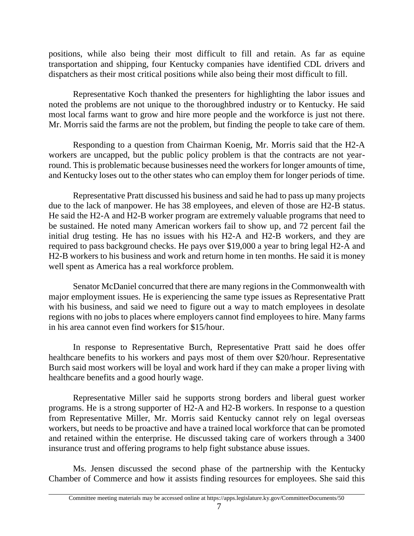positions, while also being their most difficult to fill and retain. As far as equine transportation and shipping, four Kentucky companies have identified CDL drivers and dispatchers as their most critical positions while also being their most difficult to fill.

Representative Koch thanked the presenters for highlighting the labor issues and noted the problems are not unique to the thoroughbred industry or to Kentucky. He said most local farms want to grow and hire more people and the workforce is just not there. Mr. Morris said the farms are not the problem, but finding the people to take care of them.

Responding to a question from Chairman Koenig, Mr. Morris said that the H2-A workers are uncapped, but the public policy problem is that the contracts are not yearround. This is problematic because businesses need the workers for longer amounts of time, and Kentucky loses out to the other states who can employ them for longer periods of time.

Representative Pratt discussed his business and said he had to pass up many projects due to the lack of manpower. He has 38 employees, and eleven of those are H2-B status. He said the H2-A and H2-B worker program are extremely valuable programs that need to be sustained. He noted many American workers fail to show up, and 72 percent fail the initial drug testing. He has no issues with his H2-A and H2-B workers, and they are required to pass background checks. He pays over \$19,000 a year to bring legal H2-A and H2-B workers to his business and work and return home in ten months. He said it is money well spent as America has a real workforce problem.

Senator McDaniel concurred that there are many regions in the Commonwealth with major employment issues. He is experiencing the same type issues as Representative Pratt with his business, and said we need to figure out a way to match employees in desolate regions with no jobs to places where employers cannot find employees to hire. Many farms in his area cannot even find workers for \$15/hour.

In response to Representative Burch, Representative Pratt said he does offer healthcare benefits to his workers and pays most of them over \$20/hour. Representative Burch said most workers will be loyal and work hard if they can make a proper living with healthcare benefits and a good hourly wage.

Representative Miller said he supports strong borders and liberal guest worker programs. He is a strong supporter of H2-A and H2-B workers. In response to a question from Representative Miller, Mr. Morris said Kentucky cannot rely on legal overseas workers, but needs to be proactive and have a trained local workforce that can be promoted and retained within the enterprise. He discussed taking care of workers through a 3400 insurance trust and offering programs to help fight substance abuse issues.

Ms. Jensen discussed the second phase of the partnership with the Kentucky Chamber of Commerce and how it assists finding resources for employees. She said this